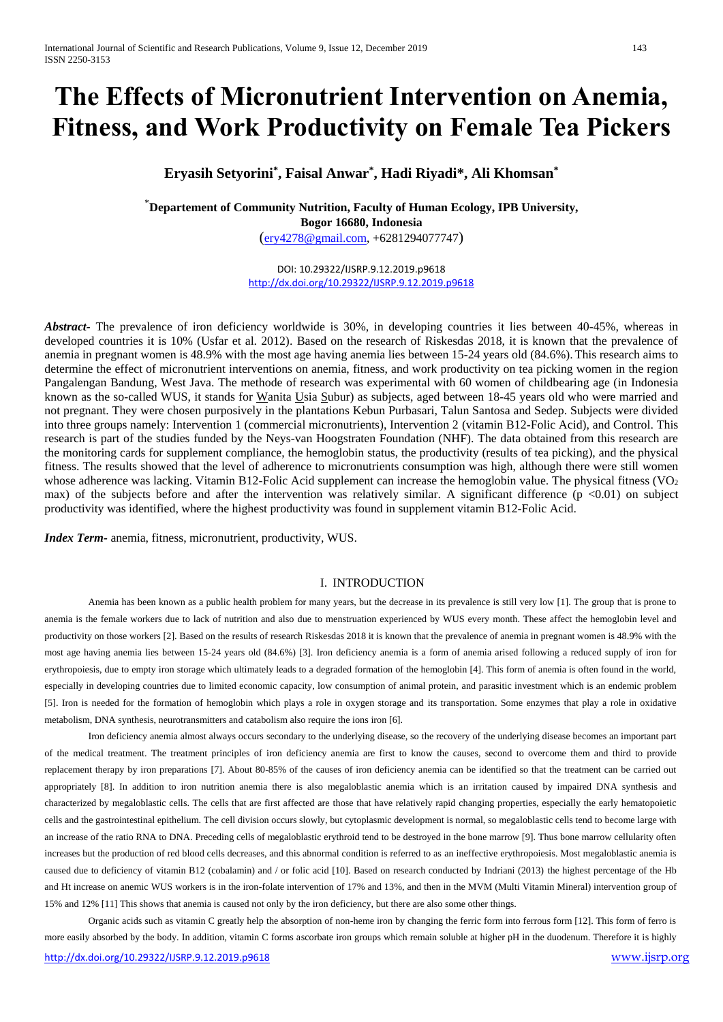# **The Effects of Micronutrient Intervention on Anemia, Fitness, and Work Productivity on Female Tea Pickers**

**Eryasih Setyorini\* , Faisal Anwar\* , Hadi Riyadi\*, Ali Khomsan\***

\***Departement of Community Nutrition, Faculty of Human Ecology, IPB University, Bogor 16680, Indonesia** ([ery4278@gmail.com,](mailto:ery4278@gmail.com) +6281294077747)

> DOI: 10.29322/IJSRP.9.12.2019.p9618 <http://dx.doi.org/10.29322/IJSRP.9.12.2019.p9618>

*Abstract-* The prevalence of iron deficiency worldwide is 30%, in developing countries it lies between 40-45%, whereas in developed countries it is 10% (Usfar et al. 2012). Based on the research of Riskesdas 2018, it is known that the prevalence of anemia in pregnant women is 48.9% with the most age having anemia lies between 15-24 years old (84.6%). This research aims to determine the effect of micronutrient interventions on anemia, fitness, and work productivity on tea picking women in the region Pangalengan Bandung, West Java. The methode of research was experimental with 60 women of childbearing age (in Indonesia known as the so-called WUS, it stands for Wanita Usia Subur) as subjects, aged between 18-45 years old who were married and not pregnant. They were chosen purposively in the plantations Kebun Purbasari, Talun Santosa and Sedep. Subjects were divided into three groups namely: Intervention 1 (commercial micronutrients), Intervention 2 (vitamin B12-Folic Acid), and Control. This research is part of the studies funded by the Neys-van Hoogstraten Foundation (NHF). The data obtained from this research are the monitoring cards for supplement compliance, the hemoglobin status, the productivity (results of tea picking), and the physical fitness. The results showed that the level of adherence to micronutrients consumption was high, although there were still women whose adherence was lacking. Vitamin B12-Folic Acid supplement can increase the hemoglobin value. The physical fitness ( $VO<sub>2</sub>$ max) of the subjects before and after the intervention was relatively similar. A significant difference  $(p \lt 0.01)$  on subject productivity was identified, where the highest productivity was found in supplement vitamin B12-Folic Acid.

*Index Term-* anemia, fitness, micronutrient, productivity, WUS.

# I. INTRODUCTION

Anemia has been known as a public health problem for many years, but the decrease in its prevalence is still very low [1]. The group that is prone to anemia is the female workers due to lack of nutrition and also due to menstruation experienced by WUS every month. These affect the hemoglobin level and productivity on those workers [2]. Based on the results of research Riskesdas 2018 it is known that the prevalence of anemia in pregnant women is 48.9% with the most age having anemia lies between 15-24 years old (84.6%) [3]. Iron deficiency anemia is a form of anemia arised following a reduced supply of iron for erythropoiesis, due to empty iron storage which ultimately leads to a degraded formation of the hemoglobin [4]. This form of anemia is often found in the world, especially in developing countries due to limited economic capacity, low consumption of animal protein, and parasitic investment which is an endemic problem [5]. Iron is needed for the formation of hemoglobin which plays a role in oxygen storage and its transportation. Some enzymes that play a role in oxidative metabolism, DNA synthesis, neurotransmitters and catabolism also require the ions iron [6].

Iron deficiency anemia almost always occurs secondary to the underlying disease, so the recovery of the underlying disease becomes an important part of the medical treatment. The treatment principles of iron deficiency anemia are first to know the causes, second to overcome them and third to provide replacement therapy by iron preparations [7]. About 80-85% of the causes of iron deficiency anemia can be identified so that the treatment can be carried out appropriately [8]. In addition to iron nutrition anemia there is also megaloblastic anemia which is an irritation caused by impaired DNA synthesis and characterized by megaloblastic cells. The cells that are first affected are those that have relatively rapid changing properties, especially the early hematopoietic cells and the gastrointestinal epithelium. The cell division occurs slowly, but cytoplasmic development is normal, so megaloblastic cells tend to become large with an increase of the ratio RNA to DNA. Preceding cells of megaloblastic erythroid tend to be destroyed in the bone marrow [9]. Thus bone marrow cellularity often increases but the production of red blood cells decreases, and this abnormal condition is referred to as an ineffective erythropoiesis. Most megaloblastic anemia is caused due to deficiency of vitamin B12 (cobalamin) and / or folic acid [10]. Based on research conducted by Indriani (2013) the highest percentage of the Hb and Ht increase on anemic WUS workers is in the iron-folate intervention of 17% and 13%, and then in the MVM (Multi Vitamin Mineral) intervention group of 15% and 12% [11] This shows that anemia is caused not only by the iron deficiency, but there are also some other things.

Organic acids such as vitamin C greatly help the absorption of non-heme iron by changing the ferric form into ferrous form [12]. This form of ferro is more easily absorbed by the body. In addition, vitamin C forms ascorbate iron groups which remain soluble at higher pH in the duodenum. Therefore it is highly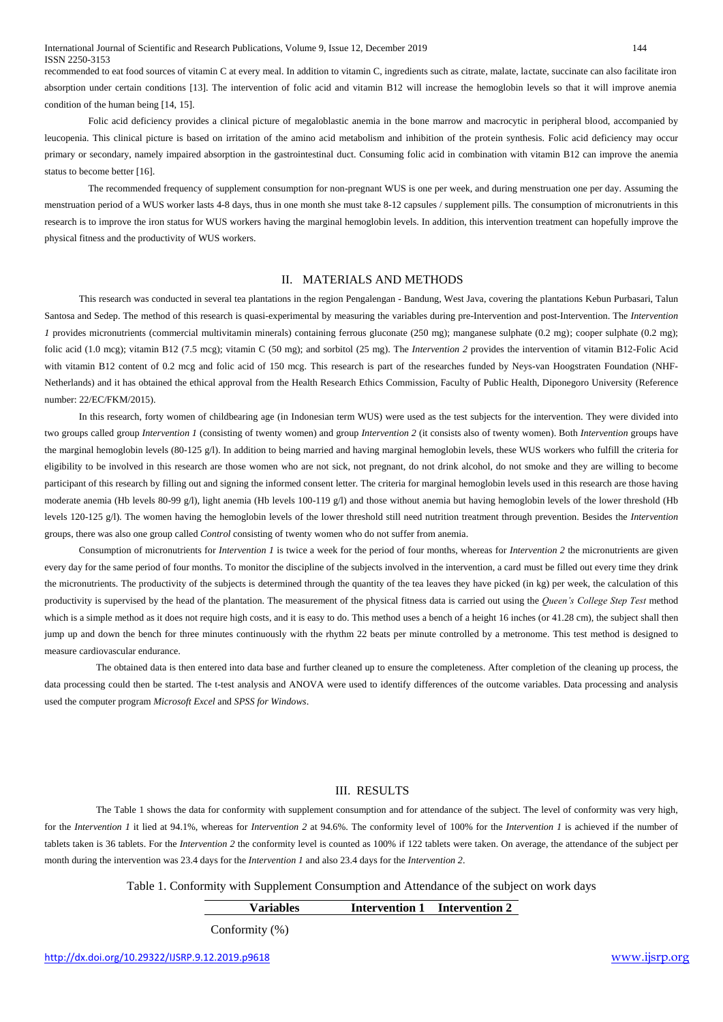International Journal of Scientific and Research Publications, Volume 9, Issue 12, December 2019 144 ISSN 2250-3153

recommended to eat food sources of vitamin C at every meal. In addition to vitamin C, ingredients such as citrate, malate, lactate, succinate can also facilitate iron absorption under certain conditions [13]. The intervention of folic acid and vitamin B12 will increase the hemoglobin levels so that it will improve anemia condition of the human being [14, 15].

Folic acid deficiency provides a clinical picture of megaloblastic anemia in the bone marrow and macrocytic in peripheral blood, accompanied by leucopenia. This clinical picture is based on irritation of the amino acid metabolism and inhibition of the protein synthesis. Folic acid deficiency may occur primary or secondary, namely impaired absorption in the gastrointestinal duct. Consuming folic acid in combination with vitamin B12 can improve the anemia status to become better [16].

The recommended frequency of supplement consumption for non-pregnant WUS is one per week, and during menstruation one per day. Assuming the menstruation period of a WUS worker lasts 4-8 days, thus in one month she must take 8-12 capsules / supplement pills. The consumption of micronutrients in this research is to improve the iron status for WUS workers having the marginal hemoglobin levels. In addition, this intervention treatment can hopefully improve the physical fitness and the productivity of WUS workers.

#### II. MATERIALS AND METHODS

This research was conducted in several tea plantations in the region Pengalengan - Bandung, West Java, covering the plantations Kebun Purbasari, Talun Santosa and Sedep. The method of this research is quasi-experimental by measuring the variables during pre-Intervention and post-Intervention. The *Intervention 1* provides micronutrients (commercial multivitamin minerals) containing ferrous gluconate (250 mg); manganese sulphate (0.2 mg); cooper sulphate (0.2 mg); folic acid (1.0 mcg); vitamin B12 (7.5 mcg); vitamin C (50 mg); and sorbitol (25 mg). The *Intervention 2* provides the intervention of vitamin B12-Folic Acid with vitamin B12 content of 0.2 mcg and folic acid of 150 mcg. This research is part of the researches funded by Neys-van Hoogstraten Foundation (NHF-Netherlands) and it has obtained the ethical approval from the Health Research Ethics Commission, Faculty of Public Health, Diponegoro University (Reference number: 22/EC/FKM/2015).

In this research, forty women of childbearing age (in Indonesian term WUS) were used as the test subjects for the intervention. They were divided into two groups called group *Intervention 1* (consisting of twenty women) and group *Intervention 2* (it consists also of twenty women). Both *Intervention* groups have the marginal hemoglobin levels (80-125 g/l). In addition to being married and having marginal hemoglobin levels, these WUS workers who fulfill the criteria for eligibility to be involved in this research are those women who are not sick, not pregnant, do not drink alcohol, do not smoke and they are willing to become participant of this research by filling out and signing the informed consent letter. The criteria for marginal hemoglobin levels used in this research are those having moderate anemia (Hb levels 80-99 g/l), light anemia (Hb levels 100-119 g/l) and those without anemia but having hemoglobin levels of the lower threshold (Hb levels 120-125 g/l). The women having the hemoglobin levels of the lower threshold still need nutrition treatment through prevention. Besides the *Intervention* groups, there was also one group called *Control* consisting of twenty women who do not suffer from anemia.

Consumption of micronutrients for *Intervention 1* is twice a week for the period of four months, whereas for *Intervention 2* the micronutrients are given every day for the same period of four months. To monitor the discipline of the subjects involved in the intervention, a card must be filled out every time they drink the micronutrients. The productivity of the subjects is determined through the quantity of the tea leaves they have picked (in kg) per week, the calculation of this productivity is supervised by the head of the plantation. The measurement of the physical fitness data is carried out using the *Queen's College Step Test* method which is a simple method as it does not require high costs, and it is easy to do. This method uses a bench of a height 16 inches (or 41.28 cm), the subject shall then jump up and down the bench for three minutes continuously with the rhythm 22 beats per minute controlled by a metronome. This test method is designed to measure cardiovascular endurance.

The obtained data is then entered into data base and further cleaned up to ensure the completeness. After completion of the cleaning up process, the data processing could then be started. The t-test analysis and ANOVA were used to identify differences of the outcome variables. Data processing and analysis used the computer program *Microsoft Excel* and *SPSS for Windows*.

# III. RESULTS

The Table 1 shows the data for conformity with supplement consumption and for attendance of the subject. The level of conformity was very high, for the *Intervention 1* it lied at 94.1%, whereas for *Intervention 2* at 94.6%. The conformity level of 100% for the *Intervention 1* is achieved if the number of tablets taken is 36 tablets. For the *Intervention 2* the conformity level is counted as 100% if 122 tablets were taken. On average, the attendance of the subject per month during the intervention was 23.4 days for the *Intervention 1* and also 23.4 days for the *Intervention 2*.

Table 1. Conformity with Supplement Consumption and Attendance of the subject on work days

| <b>Variables</b>                          | <b>Intervention 1</b> Intervention 2 |
|-------------------------------------------|--------------------------------------|
| $\alpha$ $\alpha$ $\beta$ $\beta$ $\beta$ |                                      |

Conformity (%)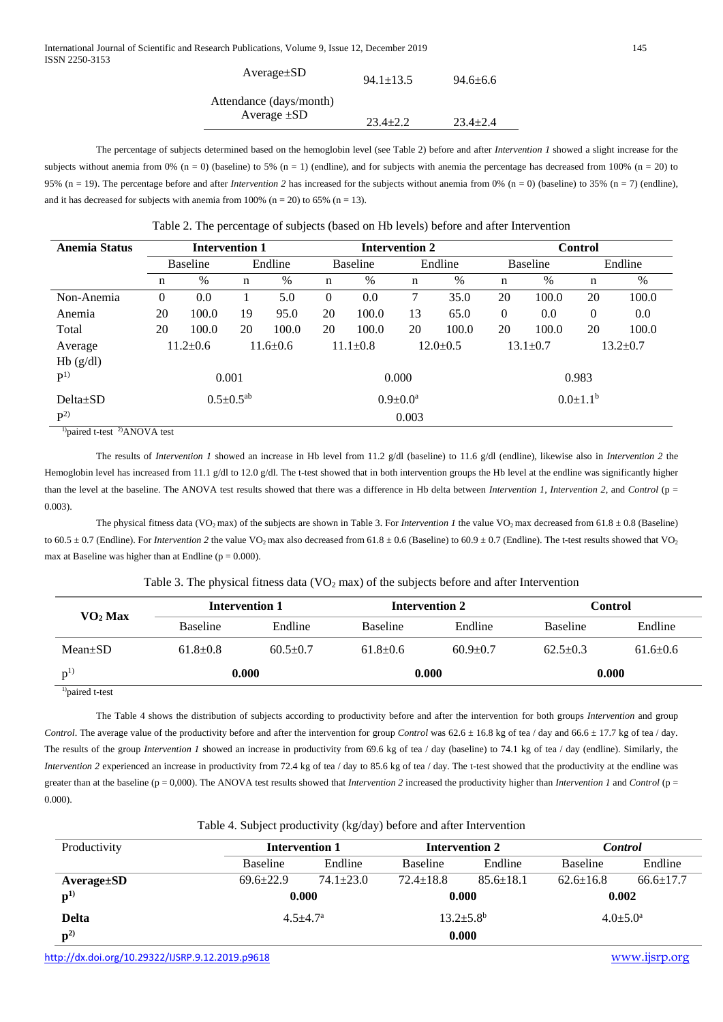| $Average \pm SD$        | $94.1 \pm 13.5$ | $94.6 + 6.6$ |
|-------------------------|-----------------|--------------|
| Attendance (days/month) |                 |              |
| Average $\pm SD$        | $23.4 + 2.2$    | $23.4 + 2.4$ |

The percentage of subjects determined based on the hemoglobin level (see Table 2) before and after *Intervention 1* showed a slight increase for the subjects without anemia from 0% (n = 0) (baseline) to 5% (n = 1) (endline), and for subjects with anemia the percentage has decreased from 100% (n = 20) to 95% (n = 19). The percentage before and after *Intervention* 2 has increased for the subjects without anemia from 0% (n = 0) (baseline) to 35% (n = 7) (endline), and it has decreased for subjects with anemia from 100% (n = 20) to 65% (n = 13).

| <b>Intervention 1</b>      |                                                           |                            |                                  |                 | <b>Intervention 2</b> |                 |       |                  | <b>Control</b> |          |       |  |
|----------------------------|-----------------------------------------------------------|----------------------------|----------------------------------|-----------------|-----------------------|-----------------|-------|------------------|----------------|----------|-------|--|
| Endline<br><b>Baseline</b> |                                                           | Endline<br><b>Baseline</b> |                                  | <b>Baseline</b> |                       | Endline         |       |                  |                |          |       |  |
| n                          | $\%$                                                      | n                          | %                                | n               | $\%$                  | n               | $\%$  | $\mathbf n$      | %              | n        | %     |  |
| $\theta$                   | 0.0                                                       |                            | 5.0                              | $\theta$        | 0.0                   | 7               | 35.0  | 20               | 100.0          | 20       | 100.0 |  |
| 20                         | 100.0                                                     | 19                         | 95.0                             | 20              | 100.0                 | 13              | 65.0  | $\boldsymbol{0}$ | $0.0\,$        | $\theta$ | 0.0   |  |
| 20                         | 100.0                                                     | 20                         | 100.0                            | 20              | 100.0                 | 20              | 100.0 | 20               | 100.0          | 20       | 100.0 |  |
|                            | $11.6 \pm 0.6$                                            |                            | $11.1 \pm 0.8$<br>$12.0 \pm 0.5$ |                 | $13.1 \pm 0.7$        |                 |       | $13.2 \pm 0.7$   |                |          |       |  |
|                            |                                                           |                            |                                  |                 |                       |                 |       |                  |                |          |       |  |
| 0.001                      |                                                           |                            |                                  |                 | 0.000                 |                 |       | 0.983            |                |          |       |  |
| $0.5 \pm 0.5^{ab}$         |                                                           |                            | $0.9 \pm 0.0^a$                  |                 |                       | $0.0 \pm 1.1^b$ |       |                  |                |          |       |  |
| 0.003                      |                                                           |                            |                                  |                 |                       |                 |       |                  |                |          |       |  |
|                            | $\ln \frac{1}{2}$ to $\frac{1}{2}$ ANOVA to $\frac{1}{2}$ | $11.2 \pm 0.6$             |                                  |                 |                       |                 |       |                  |                |          |       |  |

 $p_{\text{paired t-test}}$  2) ANOVA test

The results of *Intervention 1* showed an increase in Hb level from 11.2 g/dl (baseline) to 11.6 g/dl (endline), likewise also in *Intervention 2* the Hemoglobin level has increased from 11.1 g/dl to 12.0 g/dl. The t-test showed that in both intervention groups the Hb level at the endline was significantly higher than the level at the baseline. The ANOVA test results showed that there was a difference in Hb delta between *Intervention 1*, *Intervention 2*, and *Control* (p = 0.003).

The physical fitness data (VO<sub>2</sub> max) of the subjects are shown in Table 3. For *Intervention 1* the value VO<sub>2</sub> max decreased from 61.8  $\pm$  0.8 (Baseline) to  $60.5 \pm 0.7$  (Endline). For *Intervention* 2 the value VO<sub>2</sub> max also decreased from  $61.8 \pm 0.6$  (Baseline) to  $60.9 \pm 0.7$  (Endline). The t-test results showed that VO<sub>2</sub> max at Baseline was higher than at Endline ( $p = 0.000$ ).

# Table 3. The physical fitness data ( $VO<sub>2</sub>$  max) of the subjects before and after Intervention

| $\mathbf{VO}_2\mathbf{Max}$ |                            |              |                 |                | Control         |                |  |
|-----------------------------|----------------------------|--------------|-----------------|----------------|-----------------|----------------|--|
|                             | <b>Baseline</b><br>Endline |              | <b>Baseline</b> | Endline        | <b>Baseline</b> | Endline        |  |
| $Mean \pm SD$               | $61.8 \pm 0.8$             | $60.5 + 0.7$ | $61.8 \pm 0.6$  | $60.9 \pm 0.7$ | $62.5 \pm 0.3$  | $61.6 \pm 0.6$ |  |
| p <sup>1</sup>              | 0.000                      |              | 0.000           |                | 0.000           |                |  |

1)paired t-test

The Table 4 shows the distribution of subjects according to productivity before and after the intervention for both groups *Intervention* and group *Control*. The average value of the productivity before and after the intervention for group *Control* was  $62.6 \pm 16.8$  kg of tea / day and  $66.6 \pm 17.7$  kg of tea / day. The results of the group *Intervention 1* showed an increase in productivity from 69.6 kg of tea / day (baseline) to 74.1 kg of tea / day (endline). Similarly, the *Intervention 2* experienced an increase in productivity from 72.4 kg of tea / day to 85.6 kg of tea / day. The t-test showed that the productivity at the endline was greater than at the baseline (p = 0,000). The ANOVA test results showed that *Intervention 2* increased the productivity higher than *Intervention 1* and *Control* (p = 0.000).

| Table 4. Subject productivity (kg/day) before and after Intervention |  |  |  |  |  |  |  |
|----------------------------------------------------------------------|--|--|--|--|--|--|--|
|----------------------------------------------------------------------|--|--|--|--|--|--|--|

| Productivity     |                 | <b>Intervention 1</b> |  | <b>Intervention 2</b>      | <b>Control</b>  |                       |  |
|------------------|-----------------|-----------------------|--|----------------------------|-----------------|-----------------------|--|
|                  | <b>Baseline</b> | Endline               |  | Endline<br><b>Baseline</b> |                 | Endline               |  |
| $Average \pm SD$ | $69.6 \pm 22.9$ | $74.1 \pm 23.0$       |  | $85.6 \pm 18.1$            | $62.6 \pm 16.8$ | $66.6 \pm 17.7$       |  |
| ${\bf p}^{(1)}$  |                 | 0.000                 |  | 0.000                      |                 | 0.002                 |  |
| <b>Delta</b>     |                 | $4.5 + 4.7^{\rm a}$   |  | $13.2 \pm 5.8^{\rm b}$     |                 | $4.0 \pm 5.0^{\circ}$ |  |
| ${\bf p}^{2)}$   |                 |                       |  | 0.000                      |                 |                       |  |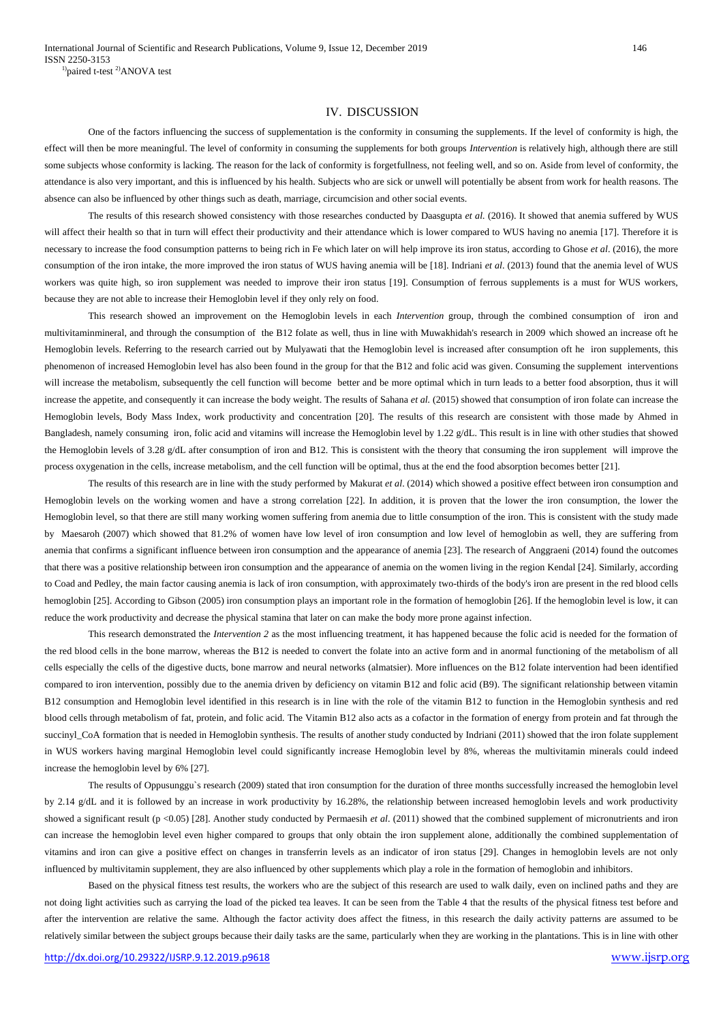### IV. DISCUSSION

One of the factors influencing the success of supplementation is the conformity in consuming the supplements. If the level of conformity is high, the effect will then be more meaningful. The level of conformity in consuming the supplements for both groups *Intervention* is relatively high, although there are still some subjects whose conformity is lacking. The reason for the lack of conformity is forgetfullness, not feeling well, and so on. Aside from level of conformity, the attendance is also very important, and this is influenced by his health. Subjects who are sick or unwell will potentially be absent from work for health reasons. The absence can also be influenced by other things such as death, marriage, circumcision and other social events.

The results of this research showed consistency with those researches conducted by Daasgupta *et al.* (2016). It showed that anemia suffered by WUS will affect their health so that in turn will effect their productivity and their attendance which is lower compared to WUS having no anemia [17]. Therefore it is necessary to increase the food consumption patterns to being rich in Fe which later on will help improve its iron status, according to Ghose *et al*. (2016), the more consumption of the iron intake, the more improved the iron status of WUS having anemia will be [18]. Indriani *et al*. (2013) found that the anemia level of WUS workers was quite high, so iron supplement was needed to improve their iron status [19]. Consumption of ferrous supplements is a must for WUS workers, because they are not able to increase their Hemoglobin level if they only rely on food.

This research showed an improvement on the Hemoglobin levels in each *Intervention* group, through the combined consumption of iron and multivitaminmineral, and through the consumption of the B12 folate as well, thus in line with Muwakhidah's research in 2009 which showed an increase oft he Hemoglobin levels. Referring to the research carried out by Mulyawati that the Hemoglobin level is increased after consumption oft he iron supplements, this phenomenon of increased Hemoglobin level has also been found in the group for that the B12 and folic acid was given. Consuming the supplement interventions will increase the metabolism, subsequently the cell function will become better and be more optimal which in turn leads to a better food absorption, thus it will increase the appetite, and consequently it can increase the body weight. The results of Sahana *et al.* (2015) showed that consumption of iron folate can increase the Hemoglobin levels, Body Mass Index, work productivity and concentration [20]. The results of this research are consistent with those made by Ahmed in Bangladesh, namely consuming iron, folic acid and vitamins will increase the Hemoglobin level by 1.22 g/dL. This result is in line with other studies that showed the Hemoglobin levels of 3.28 g/dL after consumption of iron and B12. This is consistent with the theory that consuming the iron supplement will improve the process oxygenation in the cells, increase metabolism, and the cell function will be optimal, thus at the end the food absorption becomes better [21].

The results of this research are in line with the study performed by Makurat *et al*. (2014) which showed a positive effect between iron consumption and Hemoglobin levels on the working women and have a strong correlation [22]. In addition, it is proven that the lower the iron consumption, the lower the Hemoglobin level, so that there are still many working women suffering from anemia due to little consumption of the iron. This is consistent with the study made by Maesaroh (2007) which showed that 81.2% of women have low level of iron consumption and low level of hemoglobin as well, they are suffering from anemia that confirms a significant influence between iron consumption and the appearance of anemia [23]. The research of Anggraeni (2014) found the outcomes that there was a positive relationship between iron consumption and the appearance of anemia on the women living in the region Kendal [24]. Similarly, according to Coad and Pedley, the main factor causing anemia is lack of iron consumption, with approximately two-thirds of the body's iron are present in the red blood cells hemoglobin [25]. According to Gibson (2005) iron consumption plays an important role in the formation of hemoglobin [26]. If the hemoglobin level is low, it can reduce the work productivity and decrease the physical stamina that later on can make the body more prone against infection.

This research demonstrated the *Intervention 2* as the most influencing treatment, it has happened because the folic acid is needed for the formation of the red blood cells in the bone marrow, whereas the B12 is needed to convert the folate into an active form and in anormal functioning of the metabolism of all cells especially the cells of the digestive ducts, bone marrow and neural networks (almatsier). More influences on the B12 folate intervention had been identified compared to iron intervention, possibly due to the anemia driven by deficiency on vitamin B12 and folic acid (B9). The significant relationship between vitamin B12 consumption and Hemoglobin level identified in this research is in line with the role of the vitamin B12 to function in the Hemoglobin synthesis and red blood cells through metabolism of fat, protein, and folic acid. The Vitamin B12 also acts as a cofactor in the formation of energy from protein and fat through the succinyl\_CoA formation that is needed in Hemoglobin synthesis. The results of another study conducted by Indriani (2011) showed that the iron folate supplement in WUS workers having marginal Hemoglobin level could significantly increase Hemoglobin level by 8%, whereas the multivitamin minerals could indeed increase the hemoglobin level by 6% [27].

The results of Oppusunggu`s research (2009) stated that iron consumption for the duration of three months successfully increased the hemoglobin level by 2.14 g/dL and it is followed by an increase in work productivity by 16.28%, the relationship between increased hemoglobin levels and work productivity showed a significant result (p <0.05) [28]. Another study conducted by Permaesih *et al.* (2011) showed that the combined supplement of micronutrients and iron can increase the hemoglobin level even higher compared to groups that only obtain the iron supplement alone, additionally the combined supplementation of vitamins and iron can give a positive effect on changes in transferrin levels as an indicator of iron status [29]. Changes in hemoglobin levels are not only influenced by multivitamin supplement, they are also influenced by other supplements which play a role in the formation of hemoglobin and inhibitors.

Based on the physical fitness test results, the workers who are the subject of this research are used to walk daily, even on inclined paths and they are not doing light activities such as carrying the load of the picked tea leaves. It can be seen from the Table 4 that the results of the physical fitness test before and after the intervention are relative the same. Although the factor activity does affect the fitness, in this research the daily activity patterns are assumed to be relatively similar between the subject groups because their daily tasks are the same, particularly when they are working in the plantations. This is in line with other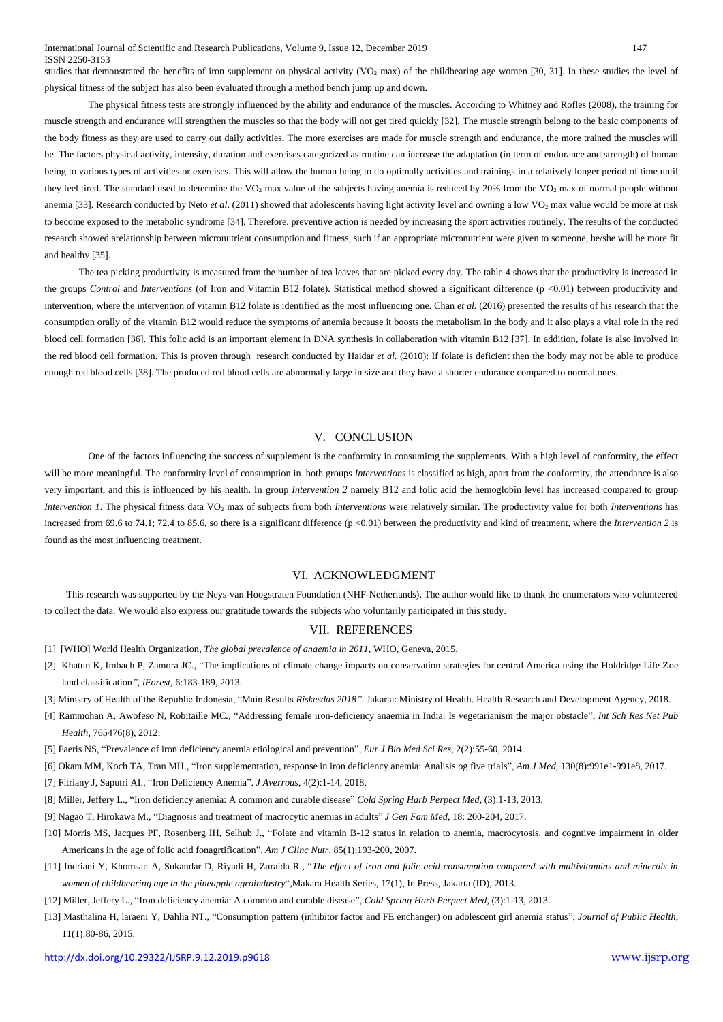#### International Journal of Scientific and Research Publications, Volume 9, Issue 12, December 2019 147 ISSN 2250-3153

studies that demonstrated the benefits of iron supplement on physical activity (VO<sub>2</sub> max) of the childbearing age women [30, 31]. In these studies the level of physical fitness of the subject has also been evaluated through a method bench jump up and down.

The physical fitness tests are strongly influenced by the ability and endurance of the muscles. According to Whitney and Rofles (2008), the training for muscle strength and endurance will strengthen the muscles so that the body will not get tired quickly [32]. The muscle strength belong to the basic components of the body fitness as they are used to carry out daily activities. The more exercises are made for muscle strength and endurance, the more trained the muscles will be. The factors physical activity, intensity, duration and exercises categorized as routine can increase the adaptation (in term of endurance and strength) of human being to various types of activities or exercises. This will allow the human being to do optimally activities and trainings in a relatively longer period of time until they feel tired. The standard used to determine the VO<sub>2</sub> max value of the subjects having anemia is reduced by 20% from the VO<sub>2</sub> max of normal people without anemia [33]. Research conducted by Neto *et al.* (2011) showed that adolescents having light activity level and owning a low VO<sub>2</sub> max value would be more at risk to become exposed to the metabolic syndrome [34]. Therefore, preventive action is needed by increasing the sport activities routinely. The results of the conducted research showed arelationship between micronutrient consumption and fitness, such if an appropriate micronutrient were given to someone, he/she will be more fit and healthy [35].

The tea picking productivity is measured from the number of tea leaves that are picked every day. The table 4 shows that the productivity is increased in the groups *Control* and *Interventions* (of Iron and Vitamin B12 folate). Statistical method showed a significant difference (p <0.01) between productivity and intervention, where the intervention of vitamin B12 folate is identified as the most influencing one. Chan *et al.* (2016) presented the results of his research that the consumption orally of the vitamin B12 would reduce the symptoms of anemia because it boosts the metabolism in the body and it also plays a vital role in the red blood cell formation [36]. This folic acid is an important element in DNA synthesis in collaboration with vitamin B12 [37]. In addition, folate is also involved in the red blood cell formation. This is proven through research conducted by Haidar *et al.* (2010): If folate is deficient then the body may not be able to produce enough red blood cells [38]. The produced red blood cells are abnormally large in size and they have a shorter endurance compared to normal ones.

# V. CONCLUSION

One of the factors influencing the success of supplement is the conformity in consumimg the supplements. With a high level of conformity, the effect will be more meaningful. The conformity level of consumption in both groups *Interventions* is classified as high, apart from the conformity, the attendance is also very important, and this is influenced by his health. In group *Intervention 2* namely B12 and folic acid the hemoglobin level has increased compared to group *Intervention 1*. The physical fitness data VO<sub>2</sub> max of subjects from both *Interventions* were relatively similar. The productivity value for both *Interventions* has increased from 69.6 to 74.1; 72.4 to 85.6, so there is a significant difference (p <0.01) between the productivity and kind of treatment, where the *Intervention 2* is found as the most influencing treatment.

#### VI. ACKNOWLEDGMENT

This research was supported by the Neys-van Hoogstraten Foundation (NHF-Netherlands). The author would like to thank the enumerators who volunteered to collect the data. We would also express our gratitude towards the subjects who voluntarily participated in this study.

## VII. REFERENCES

- [1] [WHO] World Health Organization, *The global prevalence of anaemia in 2011*, WHO, Geneva, 2015.
- [2] Khatun K, Imbach P, Zamora JC., "The implications of climate change impacts on conservation strategies for central America using the Holdridge Life Zoe land classification*"*, *iForest*, 6:183-189, 2013.
- [3] Ministry of Health of the Republic Indonesia, "Main Results *Riskesdas 2018"*. Jakarta: Ministry of Health. Health Research and Development Agency, 2018.
- [4] Rammohan A, Awofeso N, Robitaille MC., "Addressing female iron-deficiency anaemia in India: Is vegetarianism the major obstacle", *Int Sch Res Net Pub Health*, 765476(8), 2012.
- [5] Faeris NS, "Prevalence of iron deficiency anemia etiological and prevention", *Eur J Bio Med Sci Res*, 2(2):55-60, 2014.
- [6] Okam MM, Koch TA, Tran MH., "Iron supplementation, response in iron deficiency anemia: Analisis og five trials", *Am J Med*, 130(8):991e1-991e8, 2017.
- [7] Fitriany J, Saputri AI., "Iron Deficiency Anemia". *J Averrous*, 4(2):1-14, 2018.
- [8] Miller, Jeffery L., "Iron deficiency anemia: A common and curable disease" *Cold Spring Harb Perpect Med*, (3):1-13, 2013.
- [9] Nagao T, Hirokawa M., "Diagnosis and treatment of macrocytic anemias in adults" *J Gen Fam Med*, 18: 200-204, 2017.
- [10] Morris MS, Jacques PF, Rosenberg IH, Selhub J., "Folate and vitamin B-12 status in relation to anemia, macrocytosis, and cogntive impairment in older Americans in the age of folic acid fonagrtification". *Am J Clinc Nutr*, 85(1):193-200, 2007.
- [11] Indriani Y, Khomsan A, Sukandar D, Riyadi H, Zuraida R., "*The effect of iron and folic acid consumption compared with multivitamins and minerals in women of childbearing age in the pineapple agroindustry*",Makara Health Series, 17(1), In Press, Jakarta (ID), 2013.
- [12] Miller, Jeffery L., "Iron deficiency anemia: A common and curable disease", *Cold Spring Harb Perpect Med*, (3):1-13, 2013.
- [13] Masthalina H, laraeni Y, Dahlia NT., "Consumption pattern (inhibitor factor and FE enchanger) on adolescent girl anemia status", *Journal of Public Health*, 11(1):80-86, 2015.